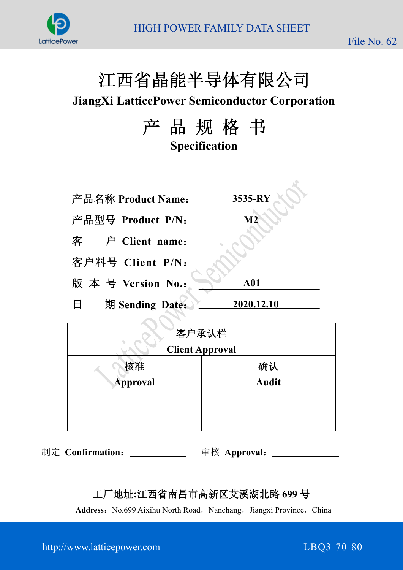



# 江西省晶能半导体有限公司

**JiangXi LatticePower Semiconductor Corporation**

产 品 规 格 书 **Specification**

| 产品名称 Product Name:   | 3535-RY    |
|----------------------|------------|
| 产品型号 Product P/N:    | M2         |
| 客 户 Client name:     |            |
| 客户料号 Client P/N:     |            |
| 版本号 Version No.:     | <b>A01</b> |
| 期 Sending Date:<br>日 | 2020.12.10 |
|                      |            |

| 客户承认栏    |                        |  |  |  |  |
|----------|------------------------|--|--|--|--|
|          | <b>Client Approval</b> |  |  |  |  |
| 核准       | 确认                     |  |  |  |  |
| Approval | <b>Audit</b>           |  |  |  |  |
|          |                        |  |  |  |  |
|          |                        |  |  |  |  |

制定 **Confirmation**: 审核 **Approval**:

### 工厂地址**:**江西省南昌市高新区艾溪湖北路 **699** 号

Address: No.699 Aixihu North Road, Nanchang, Jiangxi Province, China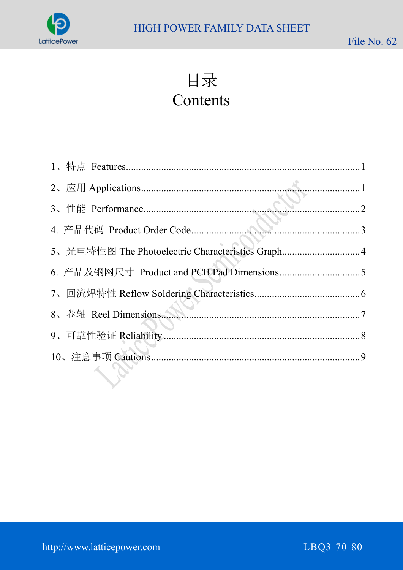

目录

# Contents

| 5、光电特性图 The Photoelectric Characteristics Graph4 |  |
|--------------------------------------------------|--|
|                                                  |  |
|                                                  |  |
|                                                  |  |
|                                                  |  |
|                                                  |  |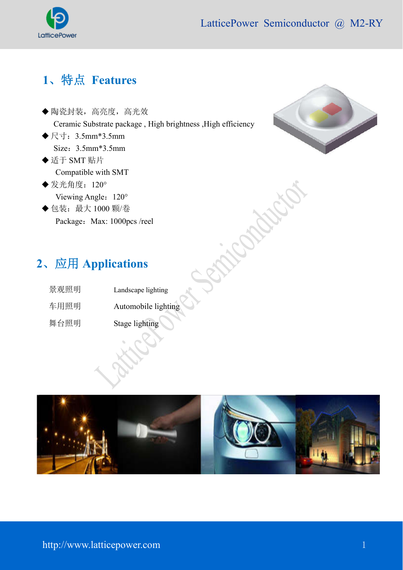

Saic Partid

# **1**、特点 **Features**

- 陶瓷封装,高亮度,高光效 Ceramic Substrate package , High brightness ,High efficiency
- ◆ 尺寸: 3.5mm\*3.5mm Size:3.5mm\*3.5mm
- ◆适于 SMT 贴片 Compatible with SMT
- ◆ 发光角度: 120° Viewing Angle: 120°
- ◆包装: 最大 1000 颗/卷 Package: Max: 1000pcs /reel



# **2**、应用 **Applications**

| 景观照明 | Landscape lighting  |
|------|---------------------|
| 车用照明 | Automobile lighting |
| 舞台照明 | Stage lighting      |

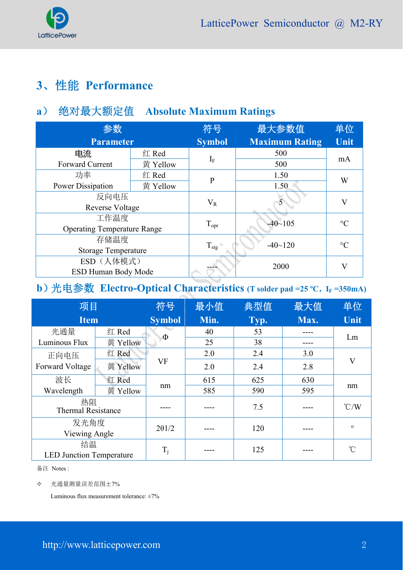

# **3**、性能 **Performance**

### **a**) 绝对最大额定值 **Absolute Maximum Ratings**

| 参数                                 |          | 符号               | 最大参数值                 | 单位                      |
|------------------------------------|----------|------------------|-----------------------|-------------------------|
| <b>Parameter</b>                   |          | <b>Symbol</b>    | <b>Maximum Rating</b> | Unit                    |
| 电流                                 | 红 Red    | $I_F$            | 500                   | mA                      |
| Forward Current                    | 黄 Yellow |                  | 500                   |                         |
| 功率                                 | 红 Red    | $\mathbf{P}$     | 1.50                  |                         |
| Power Dissipation                  | 黄 Yellow |                  | 1.50                  | W                       |
| 反向电压                               |          |                  |                       | $\overline{\mathsf{V}}$ |
| <b>Reverse Voltage</b>             |          | $V_{R}$          |                       |                         |
| 工作温度                               |          |                  | $-40 - 105$           | $\rm ^{\circ}C$         |
| <b>Operating Temperature Range</b> |          | $T_{\text{opr}}$ |                       |                         |
| 存储温度                               |          |                  | $-40$ ~120            | $\rm ^{\circ}C$         |
| <b>Storage Temperature</b>         |          | $T_{\text{stg}}$ |                       |                         |
| ESD (人体模式)                         |          |                  |                       | $\rm V$                 |
| <b>ESD Human Body Mode</b>         |          |                  | 2000                  |                         |

### **b**)光电参数 **Electro-Optical Characteristics** (T solder pad =25 °C, IF =350mA)

| 项目                              |          | 符号            | 最小值  | 典型值  | 最大值  | 单位                      |
|---------------------------------|----------|---------------|------|------|------|-------------------------|
| <b>Item</b>                     |          | <b>Symbol</b> | Min. | Typ. | Max. | Unit                    |
| 光通量                             | 红 Red    | $\Phi$        | 40   | 53   |      | Lm                      |
| Luminous Flux                   | 黄 Yellow |               | 25   | 38   |      |                         |
| 正向电压                            | 红 Red    |               | 2.0  | 2.4  | 3.0  |                         |
| Forward Voltage                 | 黄 Yellow | VF            | 2.0  | 2.4  | 2.8  | $\overline{\mathsf{V}}$ |
| 波长                              | 红 Red    |               | 615  | 625  | 630  |                         |
| Wavelength                      | 黃 Yellow | nm            | 585  | 590  | 595  | nm                      |
| 热阻<br><b>Thermal Resistance</b> |          |               |      | 7.5  |      | $\degree$ C/W           |
| 发光角度<br>Viewing Angle           |          | 201/2         |      | 120  |      | $\circ$                 |
| 结温                              |          |               |      | 125  |      | °C                      |
| <b>LED Junction Temperature</b> |          | $T_j$         |      |      |      |                         |

备注 Notes :

光通量测量误差范围±7%

Luminous flux measurement tolerance:  $\pm 7\%$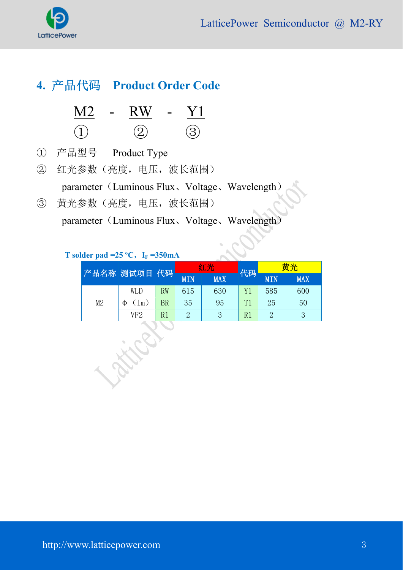

# **4.** 产品代码 **Product Order Code**

| <b>Contract</b> | $\overline{R}$ | $\blacksquare$ |  |
|-----------------|----------------|----------------|--|
|                 |                |                |  |

- ① 产品型号 Product Type
- ② 红光参数(亮度,电压,波长范围)

parameter(Luminous Flux、Voltage、Wavelength)

③ 黄光参数(亮度,电压,波长范围)

parameter (Luminous Flux、Voltage、Wavelength)

#### **T** solder pad =25 °C,  $I_F = 350mA$

Find

|    | 产品名称 测试项目 代码       |           | 红光         |            | 代码 | 黄光            |            |
|----|--------------------|-----------|------------|------------|----|---------------|------------|
|    |                    |           | <b>MIN</b> | <b>MAX</b> |    | <b>MIN</b>    | <b>MAX</b> |
|    | WLD                | <b>RW</b> | 615        | 630        | Y1 | 585           | 600        |
| M2 | $\mathsf{Im}$<br>Ф | BR        | 35         | 95         | T1 | 25            | 50         |
|    | VF2                | R1        | 2          | 3          | R1 | $\mathcal{D}$ |            |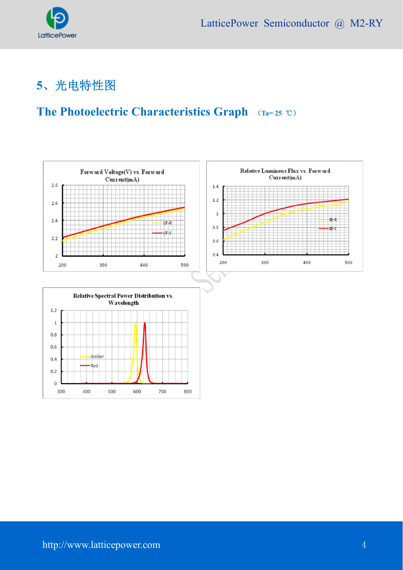

# **5**、光电特性图

### **The Photoelectric Characteristics Graph** (**Ta= 25** ℃)



 $\begin{array}{c} \end{array}$ 

800

-Amber

500

600

700

-Red

400

 $0.4$ 

 $0.2$  $\mathbf 0$ 300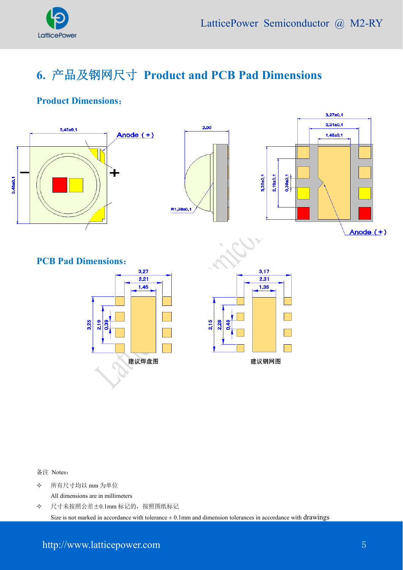

# **6.** 产品及钢网尺寸 **Product and PCB Pad Dimensions**

#### **Product Dimensions**:



备注 Notes:

 所有尺寸均以 mm 为单位 All dimensions are in millimeters

 尺寸未按照公差±0.1mm 标记的,按照图纸标记 Size is not marked in accordance with tolerance  $\pm$  0.1mm and dimension tolerances in accordance with drawings

#### http://www.latticepower.com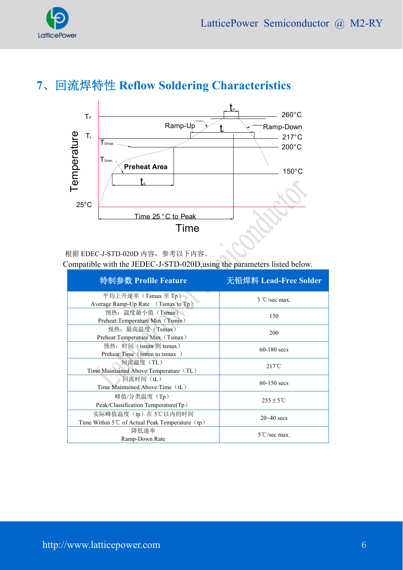

## **7**、回流焊特性 **Reflow Soldering Characteristics**



根据 EDEC-J-STD-020D 内容,参考以下内容。

Compatible with the JEDEC-J-STD-020D,using the parameters listed below.

| 特制参数 Profile Feature                                                                | 无铅焊料 Lead-Free Solder  |
|-------------------------------------------------------------------------------------|------------------------|
| 平均上升速率 (Tsmax 至 Tp)<br>Average Ramp-Up Rate (Tsmax to Tp)                           | $3 °C/sec$ max.        |
| 预热: 温度最小值(Tsmin)<br>Preheat:Temperature Min (Tsmin)                                 | 150                    |
| 预热: 最高温度 (Tsmax)<br>Preheat:Temperature Max (Tsmax)                                 | 200                    |
| 预热: 时间 (tsmin 到 tsmax)<br>Preheat:Time (tsmin to tsmax)                             | $60-180$ secs          |
| 回流温度(TL)<br>Time Maintained Above: Temperature (TL)                                 | $217^{\circ}$ C        |
| 回流时间 (tL)<br>Time Maintained Above: Time (tL)                                       | $60-150$ secs          |
| 峰值/分类温度(Tp)<br>Peak/Classification Temperature(Tp)                                  | $255 \pm 5^{\circ}$ C  |
| 实际峰值温度(tp)在5℃以内的时间<br>Time Within 5 <sup>°</sup> C of Actual Peak Temperature $(p)$ | $20 - 40$ secs         |
| 降低速率<br>Ramp-Down Rate                                                              | $5^{\circ}$ C/sec max. |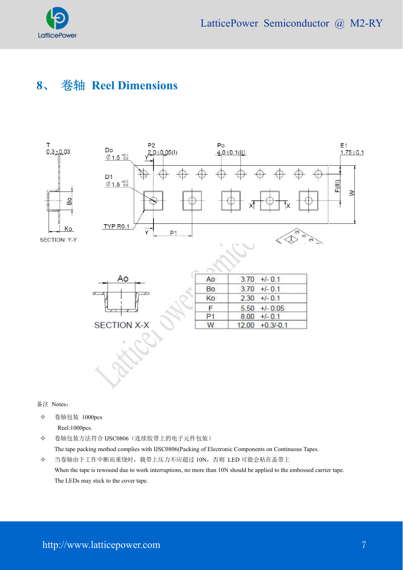

## **8**、 卷轴 **Reel Dimensions**



备注 Notes:

 卷轴包装 1000pcs Reel:1000pcs.

 卷轴包装方法符合 IJSC0806(连续胶带上的电子元件包装) The tape packing method complies with IJSC0806(Packing of Electronic Components on Continuous Tapes. 当卷轴由于工作中断而重绕时,载带上压力不应超过 10N,否则 LED 可能会粘在盖带上

When the tape is rewound due to work interruptions, no more than 10N should be applied to the embossed carrier tape. The LEDs may stick to the cover tape.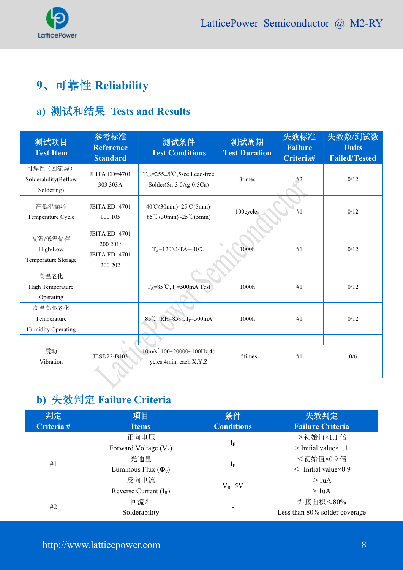

# **9**、可靠性 **Reliability**

### **a)** 测试和结果 **Tests and Results**

| 测试项目<br><b>Test Item</b>                        | 参考标准<br><b>Reference</b><br><b>Standard</b>           | 测试条件<br><b>Test Conditions</b>                                                               | 测试周期<br><b>Test Duration</b> | 失效标准<br><b>Failure</b><br>Criteria# | 失效数/测试数<br><b>Units</b><br><b>Failed/Tested</b> |
|-------------------------------------------------|-------------------------------------------------------|----------------------------------------------------------------------------------------------|------------------------------|-------------------------------------|-------------------------------------------------|
| 可焊性 (回流焊)<br>Solderability(Reflow<br>Soldering) | JEITA ED=4701<br>303 303A                             | $T_{\text{std}} = 255 \pm 5^{\circ} \text{C}$ , 5sec, Lead-free<br>Solder(Sn-3.0Ag-0.5Cu)    | 3times                       | #2                                  | 0/12                                            |
| 高低温循环<br>Temperature Cycle                      | JEITA ED=4701<br>100 105                              | $-40^{\circ}$ C(30min)~25 $^{\circ}$ C(5min)~<br>$85^{\circ}$ C(30min)~25 $^{\circ}$ C(5min) | 100cycles                    | #1                                  | 0/12                                            |
| 高温/低温储存<br>High/Low<br>Temperature Storage      | JEITA ED=4701<br>200 201/<br>JEITA ED=4701<br>200 202 | $T_A=120^{\circ}C/TA=.40^{\circ}C$                                                           | 1000h                        | #1                                  | 0/12                                            |
| 高温老化<br>High Temperature<br>Operating           |                                                       | $T_A = 85^{\circ}C$ , I <sub>F</sub> =500mA Test                                             | 1000h                        | #1                                  | 0/12                                            |
| 高温高湿老化<br>Temperature<br>Humidity Operating     |                                                       | 85°C, RH=85%, IF=500mA                                                                       | 1000h                        | #1                                  | 0/12                                            |
| 震动<br>Vibration                                 | JESD22-B103                                           | $10m/s2, 100~20000~100 Hz$ , 4c<br>ycles, 4min, each X, Y, Z                                 | 5times                       | #1                                  | 0/6                                             |

# **b)** 失效判定 **Failure Criteria**

| 判定         | 项目                         | 条件                |                                |
|------------|----------------------------|-------------------|--------------------------------|
| Criteria # | <b>Items</b>               | <b>Conditions</b> |                                |
|            | 正向电压                       |                   | >初始值×1.1 倍                     |
|            | Forward Voltage $(V_F)$    | $I_F$             | $>$ Initial value $\times$ 1.1 |
| #1         | 光通量                        |                   | <初始值×0.9倍                      |
|            | Luminous Flux $(\Phi_{v})$ | $I_F$             | $\leq$ Initial value × 0.9     |
|            | 反向电流                       | $V_R = 5V$        | >1 <sub>u</sub> A              |
|            | Reverse Current $(I_R)$    |                   | $>$ 1uA                        |
|            | 回流焊                        |                   | 焊接面积<80%                       |
| #2         | Solderability              |                   | Less than 80% solder coverage  |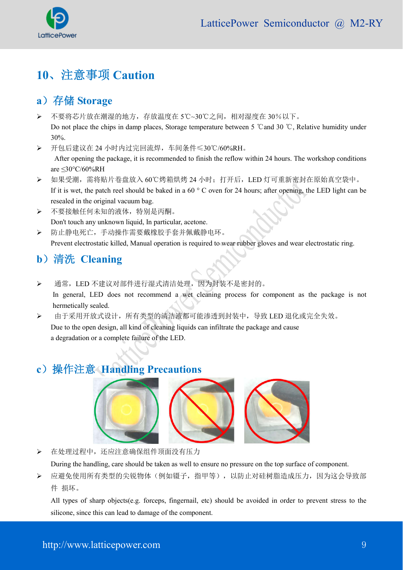

## **10**、注意事项 **Caution**

### a) 存储 **Storage**

 不要将芯片放在潮湿的地方,存放温度在 5℃~30℃之间,相对湿度在 30%以下。 Do not place the chips in damp places, Storage temperature between 5 °C and 30 °C, Relative humidity under 30%.

 开包后建议在 24 小时内过完回流焊,车间条件≤30℃/60%RH。 After opening the package, it is recommended to finish the reflow within 24 hours. The workshop conditions are ≤30°C/60%RH

- > 如果受潮, 需将贴片卷盘放入 60℃烤箱烘烤 24 小时; 打开后, LED 灯可重新密封在原始真空袋中。 If it is wet, the patch reel should be baked in a 60 ° C oven for 24 hours; after opening, the LED light can be resealed in the original vacuum bag.
- 不要接触任何未知的液体,特别是丙酮。 Don't touch any unknown liquid. In particular, acetone.
- 防止静电死亡,手动操作需要戴橡胶手套并佩戴静电环。 Prevent electrostatic killed, Manual operation is required to wear rubber gloves and wear electrostatic ring.

### **b**)清洗 **Cleaning**

- > 通常, LED 不建议对部件进行湿式清洁处理, 因为封装不是密封的。 In general, LED does not recommend a wet cleaning process for component as the package is not hermetically sealed.
- 由于采用开放式设计,所有类型的清洁液都可能渗透到封装中,导致 LED 退化或完全失效。 Due to the open design, all kind of cleaning liquids can infiltrate the package and cause a degradation or a complete failure of the LED.

### **c**)操作注意 **Handling Precautions**



> 在处理过程中,还应注意确保组件顶面没有压力

During the handling, care should be taken as well to ensure no pressure on the top surface of component.

 应避免使用所有类型的尖锐物体(例如镊子,指甲等),以防止对硅树脂造成压力,因为这会导致部 件 损坏。

All types of sharp objects(e.g. forceps, fingernail, etc) should be avoided in order to prevent stress to the silicone, since this can lead to damage of the component.